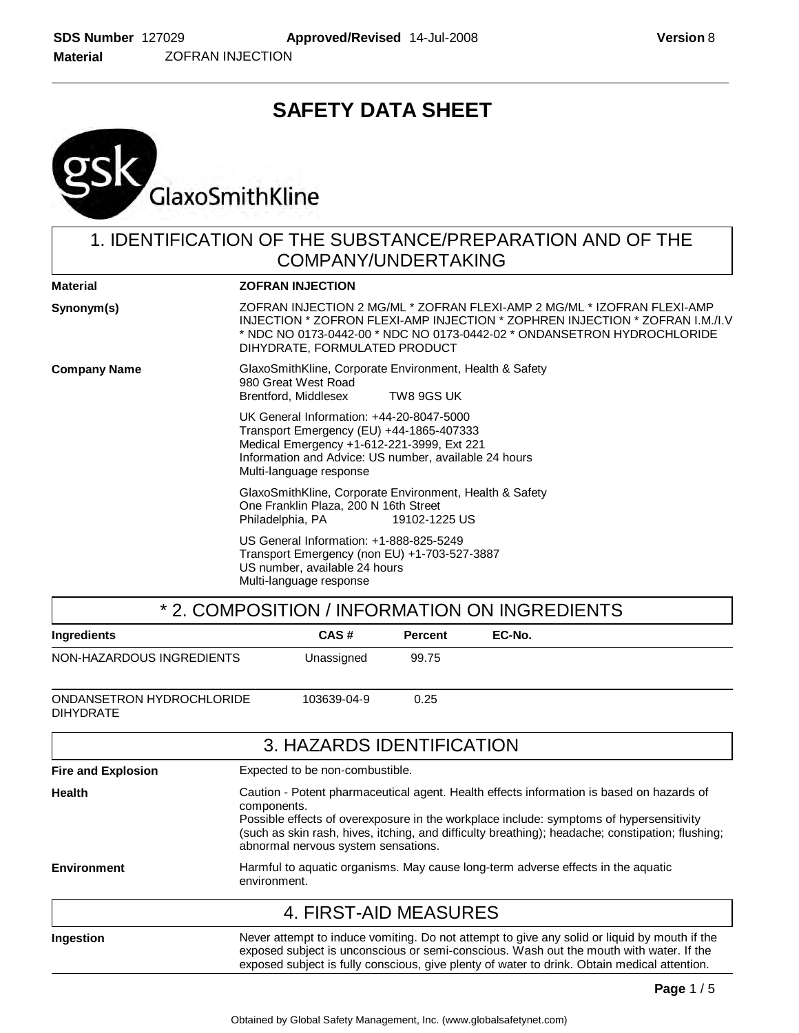# **SAFETY DATA SHEET**



## 1. IDENTIFICATION OF THE SUBSTANCE/PREPARATION AND OF THE COMPANY/UNDERTAKING

| <b>Material</b>     | <b>ZOFRAN INJECTION</b>                                                                                                                                                                                                                                                 |
|---------------------|-------------------------------------------------------------------------------------------------------------------------------------------------------------------------------------------------------------------------------------------------------------------------|
| Synonym(s)          | ZOFRAN INJECTION 2 MG/ML * ZOFRAN FLEXI-AMP 2 MG/ML * IZOFRAN FLEXI-AMP<br>INJECTION * ZOFRON FLEXI-AMP INJECTION * ZOPHREN INJECTION * ZOFRAN I.M./I.V<br>* NDC NO 0173-0442-00 * NDC NO 0173-0442-02     * ONDANSETRON HYDROCHLORIDE<br>DIHYDRATE, FORMULATED PRODUCT |
| <b>Company Name</b> | GlaxoSmithKline, Corporate Environment, Health & Safety<br>980 Great West Road<br>Brentford, Middlesex<br>TW8 9GS UK                                                                                                                                                    |
|                     | UK General Information: +44-20-8047-5000<br>Transport Emergency (EU) +44-1865-407333<br>Medical Emergency +1-612-221-3999, Ext 221<br>Information and Advice: US number, available 24 hours<br>Multi-language response                                                  |
|                     | GlaxoSmithKline, Corporate Environment, Health & Safety<br>One Franklin Plaza, 200 N 16th Street<br>Philadelphia, PA<br>19102-1225 US                                                                                                                                   |
|                     | US General Information: +1-888-825-5249<br>Transport Emergency (non EU) +1-703-527-3887<br>US number, available 24 hours<br>Multi-language response                                                                                                                     |
|                     | * 2. COMPOSITION / INFORMATION ON INGREDIENTS                                                                                                                                                                                                                           |

| 2. UUINI UUITIUIN / IINI UINMATIUIN UINTINUNLUILINTU |                                                                                                                                                                                                                                                                                                                                               |                                 |                |                                                                                                                                                                                                                                                                                         |
|------------------------------------------------------|-----------------------------------------------------------------------------------------------------------------------------------------------------------------------------------------------------------------------------------------------------------------------------------------------------------------------------------------------|---------------------------------|----------------|-----------------------------------------------------------------------------------------------------------------------------------------------------------------------------------------------------------------------------------------------------------------------------------------|
| Ingredients                                          |                                                                                                                                                                                                                                                                                                                                               | CAS#                            | <b>Percent</b> | EC-No.                                                                                                                                                                                                                                                                                  |
| NON-HAZARDOUS INGREDIENTS                            |                                                                                                                                                                                                                                                                                                                                               | Unassigned                      | 99.75          |                                                                                                                                                                                                                                                                                         |
| ONDANSETRON HYDROCHLORIDE<br><b>DIHYDRATE</b>        |                                                                                                                                                                                                                                                                                                                                               | 103639-04-9                     | 0.25           |                                                                                                                                                                                                                                                                                         |
|                                                      |                                                                                                                                                                                                                                                                                                                                               | 3. HAZARDS IDENTIFICATION       |                |                                                                                                                                                                                                                                                                                         |
| <b>Fire and Explosion</b>                            |                                                                                                                                                                                                                                                                                                                                               | Expected to be non-combustible. |                |                                                                                                                                                                                                                                                                                         |
| <b>Health</b>                                        | Caution - Potent pharmaceutical agent. Health effects information is based on hazards of<br>components.<br>Possible effects of overexposure in the workplace include: symptoms of hypersensitivity<br>(such as skin rash, hives, itching, and difficulty breathing); headache; constipation; flushing;<br>abnormal nervous system sensations. |                                 |                |                                                                                                                                                                                                                                                                                         |
| <b>Environment</b>                                   | Harmful to aquatic organisms. May cause long-term adverse effects in the aquatic<br>environment.                                                                                                                                                                                                                                              |                                 |                |                                                                                                                                                                                                                                                                                         |
|                                                      |                                                                                                                                                                                                                                                                                                                                               | 4. FIRST-AID MEASURES           |                |                                                                                                                                                                                                                                                                                         |
| Ingestion                                            |                                                                                                                                                                                                                                                                                                                                               |                                 |                | Never attempt to induce vomiting. Do not attempt to give any solid or liquid by mouth if the<br>exposed subject is unconscious or semi-conscious. Wash out the mouth with water. If the<br>exposed subject is fully conscious, give plenty of water to drink. Obtain medical attention. |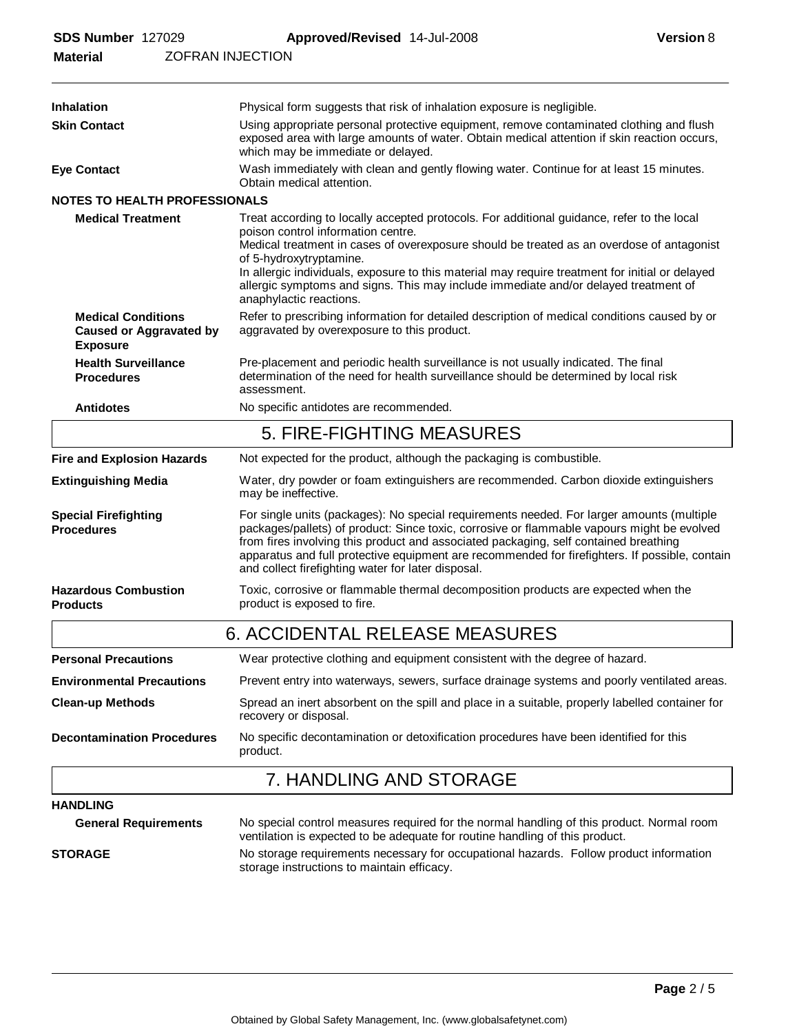| <b>ZOFRAN INJECTION</b><br><b>Material</b>                                     |                                                                                                                                                                                                                                                                                                                                                                                                                                                                               |  |  |
|--------------------------------------------------------------------------------|-------------------------------------------------------------------------------------------------------------------------------------------------------------------------------------------------------------------------------------------------------------------------------------------------------------------------------------------------------------------------------------------------------------------------------------------------------------------------------|--|--|
| Inhalation                                                                     | Physical form suggests that risk of inhalation exposure is negligible.                                                                                                                                                                                                                                                                                                                                                                                                        |  |  |
| <b>Skin Contact</b>                                                            | Using appropriate personal protective equipment, remove contaminated clothing and flush<br>exposed area with large amounts of water. Obtain medical attention if skin reaction occurs,<br>which may be immediate or delayed.                                                                                                                                                                                                                                                  |  |  |
| <b>Eye Contact</b>                                                             | Wash immediately with clean and gently flowing water. Continue for at least 15 minutes.<br>Obtain medical attention.                                                                                                                                                                                                                                                                                                                                                          |  |  |
| <b>NOTES TO HEALTH PROFESSIONALS</b>                                           |                                                                                                                                                                                                                                                                                                                                                                                                                                                                               |  |  |
| <b>Medical Treatment</b>                                                       | Treat according to locally accepted protocols. For additional guidance, refer to the local<br>poison control information centre.<br>Medical treatment in cases of overexposure should be treated as an overdose of antagonist<br>of 5-hydroxytryptamine.<br>In allergic individuals, exposure to this material may require treatment for initial or delayed<br>allergic symptoms and signs. This may include immediate and/or delayed treatment of<br>anaphylactic reactions. |  |  |
| <b>Medical Conditions</b><br><b>Caused or Aggravated by</b><br><b>Exposure</b> | Refer to prescribing information for detailed description of medical conditions caused by or<br>aggravated by overexposure to this product.                                                                                                                                                                                                                                                                                                                                   |  |  |
| <b>Health Surveillance</b><br><b>Procedures</b>                                | Pre-placement and periodic health surveillance is not usually indicated. The final<br>determination of the need for health surveillance should be determined by local risk<br>assessment.                                                                                                                                                                                                                                                                                     |  |  |
| <b>Antidotes</b>                                                               | No specific antidotes are recommended.                                                                                                                                                                                                                                                                                                                                                                                                                                        |  |  |
|                                                                                | 5. FIRE-FIGHTING MEASURES                                                                                                                                                                                                                                                                                                                                                                                                                                                     |  |  |
| <b>Fire and Explosion Hazards</b>                                              | Not expected for the product, although the packaging is combustible.                                                                                                                                                                                                                                                                                                                                                                                                          |  |  |
| <b>Extinguishing Media</b>                                                     | Water, dry powder or foam extinguishers are recommended. Carbon dioxide extinguishers<br>may be ineffective.                                                                                                                                                                                                                                                                                                                                                                  |  |  |
| <b>Special Firefighting</b><br><b>Procedures</b>                               | For single units (packages): No special requirements needed. For larger amounts (multiple<br>packages/pallets) of product: Since toxic, corrosive or flammable vapours might be evolved<br>from fires involving this product and associated packaging, self contained breathing<br>apparatus and full protective equipment are recommended for firefighters. If possible, contain<br>and collect firefighting water for later disposal.                                       |  |  |
| <b>Hazardous Combustion</b><br><b>Products</b>                                 | Toxic, corrosive or flammable thermal decomposition products are expected when the<br>product is exposed to fire.                                                                                                                                                                                                                                                                                                                                                             |  |  |
|                                                                                | <b>6. ACCIDENTAL RELEASE MEASURES</b>                                                                                                                                                                                                                                                                                                                                                                                                                                         |  |  |
| <b>Personal Precautions</b>                                                    | Wear protective clothing and equipment consistent with the degree of hazard.                                                                                                                                                                                                                                                                                                                                                                                                  |  |  |
| <b>Environmental Precautions</b>                                               | Prevent entry into waterways, sewers, surface drainage systems and poorly ventilated areas.                                                                                                                                                                                                                                                                                                                                                                                   |  |  |
| <b>Clean-up Methods</b>                                                        | Spread an inert absorbent on the spill and place in a suitable, properly labelled container for<br>recovery or disposal.                                                                                                                                                                                                                                                                                                                                                      |  |  |
| <b>Decontamination Procedures</b>                                              | No specific decontamination or detoxification procedures have been identified for this<br>product.                                                                                                                                                                                                                                                                                                                                                                            |  |  |
|                                                                                | 7. HANDLING AND STORAGE                                                                                                                                                                                                                                                                                                                                                                                                                                                       |  |  |
| <b>HANDLING</b>                                                                |                                                                                                                                                                                                                                                                                                                                                                                                                                                                               |  |  |
| <b>General Requirements</b>                                                    | No special control measures required for the normal handling of this product. Normal room<br>ventilation is expected to be adequate for routine handling of this product.                                                                                                                                                                                                                                                                                                     |  |  |
| <b>STORAGE</b>                                                                 | No storage requirements necessary for occupational hazards. Follow product information<br>storage instructions to maintain efficacy.                                                                                                                                                                                                                                                                                                                                          |  |  |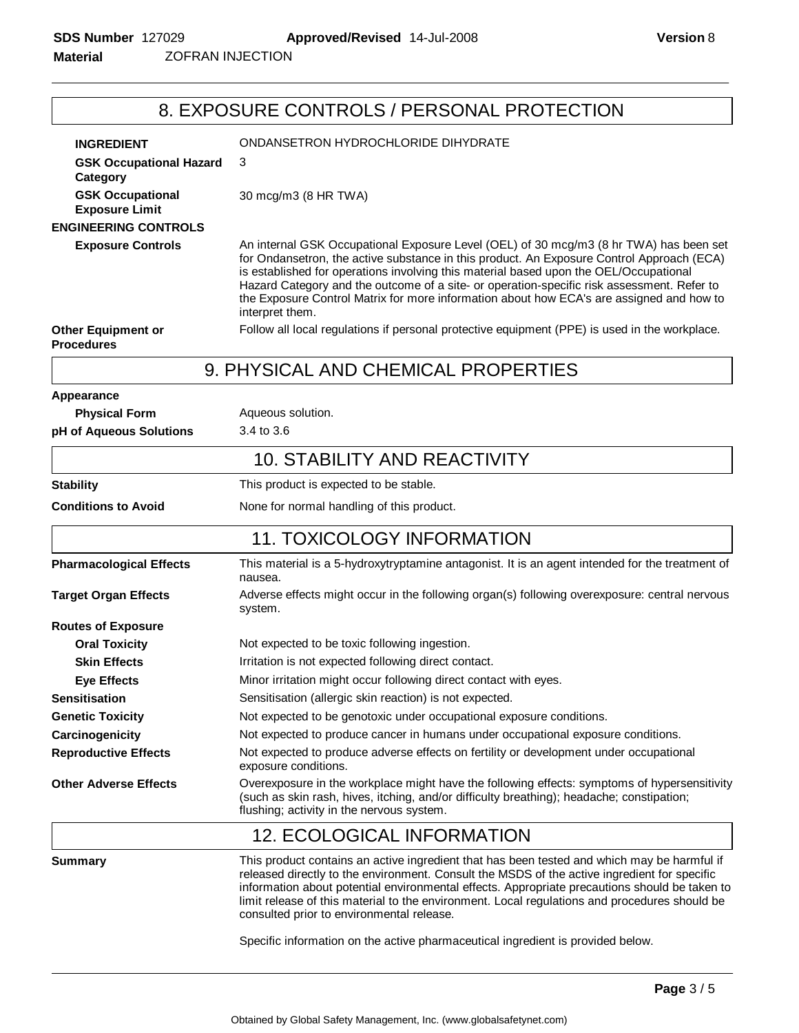ZOFRAN INJECTION **Material**

# 8. EXPOSURE CONTROLS / PERSONAL PROTECTION

| <b>INGREDIENT</b>                                | ONDANSETRON HYDROCHLORIDE DIHYDRATE                                                                                                                                                                                                                                                                                                                                                                                                                                                                                           |
|--------------------------------------------------|-------------------------------------------------------------------------------------------------------------------------------------------------------------------------------------------------------------------------------------------------------------------------------------------------------------------------------------------------------------------------------------------------------------------------------------------------------------------------------------------------------------------------------|
| <b>GSK Occupational Hazard</b><br>Category       | 3                                                                                                                                                                                                                                                                                                                                                                                                                                                                                                                             |
| <b>GSK Occupational</b><br><b>Exposure Limit</b> | 30 mcg/m3 (8 HR TWA)                                                                                                                                                                                                                                                                                                                                                                                                                                                                                                          |
| <b>ENGINEERING CONTROLS</b>                      |                                                                                                                                                                                                                                                                                                                                                                                                                                                                                                                               |
| <b>Exposure Controls</b>                         | An internal GSK Occupational Exposure Level (OEL) of 30 mcg/m3 (8 hr TWA) has been set<br>for Ondansetron, the active substance in this product. An Exposure Control Approach (ECA)<br>is established for operations involving this material based upon the OEL/Occupational<br>Hazard Category and the outcome of a site- or operation-specific risk assessment. Refer to<br>the Exposure Control Matrix for more information about how ECA's are assigned and how to<br>interpret them.                                     |
| <b>Other Equipment or</b><br><b>Procedures</b>   | Follow all local regulations if personal protective equipment (PPE) is used in the workplace.                                                                                                                                                                                                                                                                                                                                                                                                                                 |
|                                                  | 9. PHYSICAL AND CHEMICAL PROPERTIES                                                                                                                                                                                                                                                                                                                                                                                                                                                                                           |
| Appearance                                       |                                                                                                                                                                                                                                                                                                                                                                                                                                                                                                                               |
| <b>Physical Form</b>                             | Aqueous solution.                                                                                                                                                                                                                                                                                                                                                                                                                                                                                                             |
| pH of Aqueous Solutions                          | 3.4 to 3.6                                                                                                                                                                                                                                                                                                                                                                                                                                                                                                                    |
|                                                  | <b>10. STABILITY AND REACTIVITY</b>                                                                                                                                                                                                                                                                                                                                                                                                                                                                                           |
| <b>Stability</b>                                 | This product is expected to be stable.                                                                                                                                                                                                                                                                                                                                                                                                                                                                                        |
| <b>Conditions to Avoid</b>                       | None for normal handling of this product.                                                                                                                                                                                                                                                                                                                                                                                                                                                                                     |
|                                                  | <b>11. TOXICOLOGY INFORMATION</b>                                                                                                                                                                                                                                                                                                                                                                                                                                                                                             |
| <b>Pharmacological Effects</b>                   | This material is a 5-hydroxytryptamine antagonist. It is an agent intended for the treatment of<br>nausea.                                                                                                                                                                                                                                                                                                                                                                                                                    |
| <b>Target Organ Effects</b>                      | Adverse effects might occur in the following organ(s) following overexposure: central nervous<br>system.                                                                                                                                                                                                                                                                                                                                                                                                                      |
| <b>Routes of Exposure</b>                        |                                                                                                                                                                                                                                                                                                                                                                                                                                                                                                                               |
| <b>Oral Toxicity</b>                             | Not expected to be toxic following ingestion.                                                                                                                                                                                                                                                                                                                                                                                                                                                                                 |
| <b>Skin Effects</b>                              | Irritation is not expected following direct contact.                                                                                                                                                                                                                                                                                                                                                                                                                                                                          |
| <b>Eye Effects</b>                               | Minor irritation might occur following direct contact with eyes.                                                                                                                                                                                                                                                                                                                                                                                                                                                              |
| <b>Sensitisation</b>                             | Sensitisation (allergic skin reaction) is not expected.                                                                                                                                                                                                                                                                                                                                                                                                                                                                       |
| <b>Genetic Toxicity</b>                          | Not expected to be genotoxic under occupational exposure conditions.                                                                                                                                                                                                                                                                                                                                                                                                                                                          |
| Carcinogenicity                                  | Not expected to produce cancer in humans under occupational exposure conditions.                                                                                                                                                                                                                                                                                                                                                                                                                                              |
| <b>Reproductive Effects</b>                      | Not expected to produce adverse effects on fertility or development under occupational<br>exposure conditions.                                                                                                                                                                                                                                                                                                                                                                                                                |
| <b>Other Adverse Effects</b>                     | Overexposure in the workplace might have the following effects: symptoms of hypersensitivity<br>(such as skin rash, hives, itching, and/or difficulty breathing); headache; constipation;<br>flushing; activity in the nervous system.                                                                                                                                                                                                                                                                                        |
|                                                  | <b>12. ECOLOGICAL INFORMATION</b>                                                                                                                                                                                                                                                                                                                                                                                                                                                                                             |
| <b>Summary</b>                                   | This product contains an active ingredient that has been tested and which may be harmful if<br>released directly to the environment. Consult the MSDS of the active ingredient for specific<br>information about potential environmental effects. Appropriate precautions should be taken to<br>limit release of this material to the environment. Local regulations and procedures should be<br>consulted prior to environmental release.<br>Specific information on the active pharmaceutical ingredient is provided below. |
|                                                  |                                                                                                                                                                                                                                                                                                                                                                                                                                                                                                                               |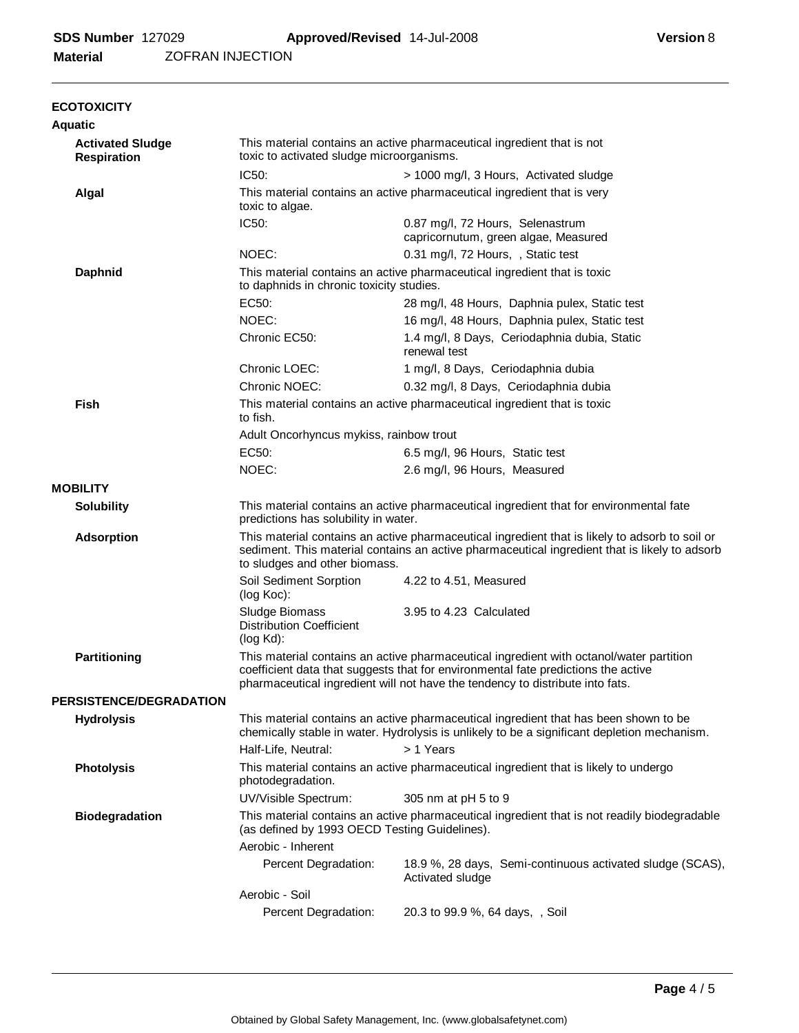ZOFRAN INJECTION **Material**

| <b>ECOTOXICITY</b>                            |                                                                                                                                                                                                                                  |                                                                                                                                                                                                                                                               |  |  |  |
|-----------------------------------------------|----------------------------------------------------------------------------------------------------------------------------------------------------------------------------------------------------------------------------------|---------------------------------------------------------------------------------------------------------------------------------------------------------------------------------------------------------------------------------------------------------------|--|--|--|
| <b>Aquatic</b>                                |                                                                                                                                                                                                                                  | This material contains an active pharmaceutical ingredient that is not                                                                                                                                                                                        |  |  |  |
| <b>Activated Sludge</b><br><b>Respiration</b> | toxic to activated sludge microorganisms.                                                                                                                                                                                        |                                                                                                                                                                                                                                                               |  |  |  |
|                                               | IC50:                                                                                                                                                                                                                            | > 1000 mg/l, 3 Hours, Activated sludge                                                                                                                                                                                                                        |  |  |  |
| Algal                                         | This material contains an active pharmaceutical ingredient that is very<br>toxic to algae.                                                                                                                                       |                                                                                                                                                                                                                                                               |  |  |  |
|                                               | IC50:                                                                                                                                                                                                                            | 0.87 mg/l, 72 Hours, Selenastrum<br>capricornutum, green algae, Measured                                                                                                                                                                                      |  |  |  |
|                                               | NOEC:                                                                                                                                                                                                                            | 0.31 mg/l, 72 Hours, , Static test                                                                                                                                                                                                                            |  |  |  |
| <b>Daphnid</b>                                | This material contains an active pharmaceutical ingredient that is toxic<br>to daphnids in chronic toxicity studies.                                                                                                             |                                                                                                                                                                                                                                                               |  |  |  |
|                                               | EC50:                                                                                                                                                                                                                            | 28 mg/l, 48 Hours, Daphnia pulex, Static test                                                                                                                                                                                                                 |  |  |  |
|                                               | NOEC:                                                                                                                                                                                                                            | 16 mg/l, 48 Hours, Daphnia pulex, Static test                                                                                                                                                                                                                 |  |  |  |
|                                               | Chronic EC50:                                                                                                                                                                                                                    | 1.4 mg/l, 8 Days, Ceriodaphnia dubia, Static<br>renewal test                                                                                                                                                                                                  |  |  |  |
|                                               | Chronic LOEC:                                                                                                                                                                                                                    | 1 mg/l, 8 Days, Ceriodaphnia dubia                                                                                                                                                                                                                            |  |  |  |
|                                               | Chronic NOEC:                                                                                                                                                                                                                    | 0.32 mg/l, 8 Days, Ceriodaphnia dubia                                                                                                                                                                                                                         |  |  |  |
| <b>Fish</b>                                   | This material contains an active pharmaceutical ingredient that is toxic<br>to fish.                                                                                                                                             |                                                                                                                                                                                                                                                               |  |  |  |
|                                               | Adult Oncorhyncus mykiss, rainbow trout                                                                                                                                                                                          |                                                                                                                                                                                                                                                               |  |  |  |
|                                               | EC50:                                                                                                                                                                                                                            | 6.5 mg/l, 96 Hours, Static test                                                                                                                                                                                                                               |  |  |  |
|                                               | NOEC:                                                                                                                                                                                                                            | 2.6 mg/l, 96 Hours, Measured                                                                                                                                                                                                                                  |  |  |  |
| <b>MOBILITY</b>                               |                                                                                                                                                                                                                                  |                                                                                                                                                                                                                                                               |  |  |  |
| <b>Solubility</b>                             | predictions has solubility in water.                                                                                                                                                                                             | This material contains an active pharmaceutical ingredient that for environmental fate                                                                                                                                                                        |  |  |  |
| <b>Adsorption</b>                             | This material contains an active pharmaceutical ingredient that is likely to adsorb to soil or<br>sediment. This material contains an active pharmaceutical ingredient that is likely to adsorb<br>to sludges and other biomass. |                                                                                                                                                                                                                                                               |  |  |  |
|                                               | Soil Sediment Sorption<br>(log Koc):                                                                                                                                                                                             | 4.22 to 4.51, Measured                                                                                                                                                                                                                                        |  |  |  |
|                                               | Sludge Biomass<br><b>Distribution Coefficient</b><br>$(log Kd)$ :                                                                                                                                                                | 3.95 to 4.23 Calculated                                                                                                                                                                                                                                       |  |  |  |
| <b>Partitioning</b>                           |                                                                                                                                                                                                                                  | This material contains an active pharmaceutical ingredient with octanol/water partition<br>coefficient data that suggests that for environmental fate predictions the active<br>pharmaceutical ingredient will not have the tendency to distribute into fats. |  |  |  |
| <b>PERSISTENCE/DEGRADATION</b>                |                                                                                                                                                                                                                                  |                                                                                                                                                                                                                                                               |  |  |  |
| <b>Hydrolysis</b>                             |                                                                                                                                                                                                                                  | This material contains an active pharmaceutical ingredient that has been shown to be<br>chemically stable in water. Hydrolysis is unlikely to be a significant depletion mechanism.                                                                           |  |  |  |
|                                               | Half-Life, Neutral:                                                                                                                                                                                                              | > 1 Years                                                                                                                                                                                                                                                     |  |  |  |
| <b>Photolysis</b>                             | photodegradation.                                                                                                                                                                                                                | This material contains an active pharmaceutical ingredient that is likely to undergo                                                                                                                                                                          |  |  |  |
|                                               | UV/Visible Spectrum:                                                                                                                                                                                                             | 305 nm at pH 5 to 9                                                                                                                                                                                                                                           |  |  |  |
| <b>Biodegradation</b>                         | This material contains an active pharmaceutical ingredient that is not readily biodegradable<br>(as defined by 1993 OECD Testing Guidelines).                                                                                    |                                                                                                                                                                                                                                                               |  |  |  |
|                                               | Aerobic - Inherent                                                                                                                                                                                                               |                                                                                                                                                                                                                                                               |  |  |  |
|                                               | Percent Degradation:                                                                                                                                                                                                             | 18.9 %, 28 days, Semi-continuous activated sludge (SCAS),<br>Activated sludge                                                                                                                                                                                 |  |  |  |
|                                               | Aerobic - Soil                                                                                                                                                                                                                   |                                                                                                                                                                                                                                                               |  |  |  |
|                                               | Percent Degradation:                                                                                                                                                                                                             | 20.3 to 99.9 %, 64 days, , Soil                                                                                                                                                                                                                               |  |  |  |